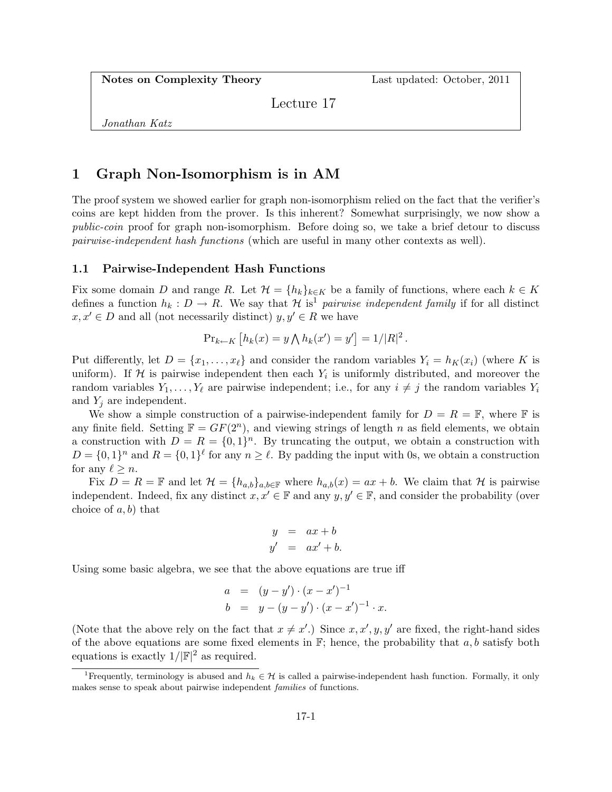Notes on Complexity Theory Last updated: October, 2011

Lecture 17

Jonathan Katz

## 1 Graph Non-Isomorphism is in AM

The proof system we showed earlier for graph non-isomorphism relied on the fact that the verifier's coins are kept hidden from the prover. Is this inherent? Somewhat surprisingly, we now show a public-coin proof for graph non-isomorphism. Before doing so, we take a brief detour to discuss pairwise-independent hash functions (which are useful in many other contexts as well).

## 1.1 Pairwise-Independent Hash Functions

Fix some domain D and range R. Let  $\mathcal{H} = \{h_k\}_{k \in K}$  be a family of functions, where each  $k \in K$ defines a function  $h_k : D \to R$ . We say that H is<sup>1</sup> pairwise independent family if for all distinct  $x, x' \in D$  and all (not necessarily distinct)  $y, y' \in R$  we have

$$
\Pr_{k \leftarrow K} [h_k(x) = y \bigwedge h_k(x') = y'] = 1/|R|^2.
$$

Put differently, let  $D = \{x_1, \ldots, x_\ell\}$  and consider the random variables  $Y_i = h_K(x_i)$  (where K is uniform). If H is pairwise independent then each  $Y_i$  is uniformly distributed, and moreover the random variables  $Y_1, \ldots, Y_\ell$  are pairwise independent; i.e., for any  $i \neq j$  the random variables  $Y_i$ and  $Y_i$  are independent.

We show a simple construction of a pairwise-independent family for  $D = R = \mathbb{F}$ , where  $\mathbb{F}$  is any finite field. Setting  $\mathbb{F} = GF(2^n)$ , and viewing strings of length n as field elements, we obtain a construction with  $D = R = \{0, 1\}^n$ . By truncating the output, we obtain a construction with  $D = \{0,1\}^n$  and  $R = \{0,1\}^{\ell}$  for any  $n \geq \ell$ . By padding the input with 0s, we obtain a construction for any  $\ell \geq n$ .

Fix  $D = R = \mathbb{F}$  and let  $\mathcal{H} = \{h_{a,b}\}_{a,b\in\mathbb{F}}$  where  $h_{a,b}(x) = ax + b$ . We claim that  $\mathcal{H}$  is pairwise independent. Indeed, fix any distinct  $x, x' \in \mathbb{F}$  and any  $y, y' \in \mathbb{F}$ , and consider the probability (over choice of  $a, b$  that

$$
y = ax + b
$$
  

$$
y' = ax' + b.
$$

Using some basic algebra, we see that the above equations are true iff

$$
a = (y - y') \cdot (x - x')^{-1}
$$
  
\n
$$
b = y - (y - y') \cdot (x - x')^{-1} \cdot x.
$$

(Note that the above rely on the fact that  $x \neq x'$ .) Since  $x, x', y, y'$  are fixed, the right-hand sides of the above equations are some fixed elements in  $\mathbb{F}$ ; hence, the probability that  $a, b$  satisfy both equations is exactly  $1/|\mathbb{F}|^2$  as required.

<sup>&</sup>lt;sup>1</sup>Frequently, terminology is abused and  $h_k \in \mathcal{H}$  is called a pairwise-independent hash function. Formally, it only makes sense to speak about pairwise independent families of functions.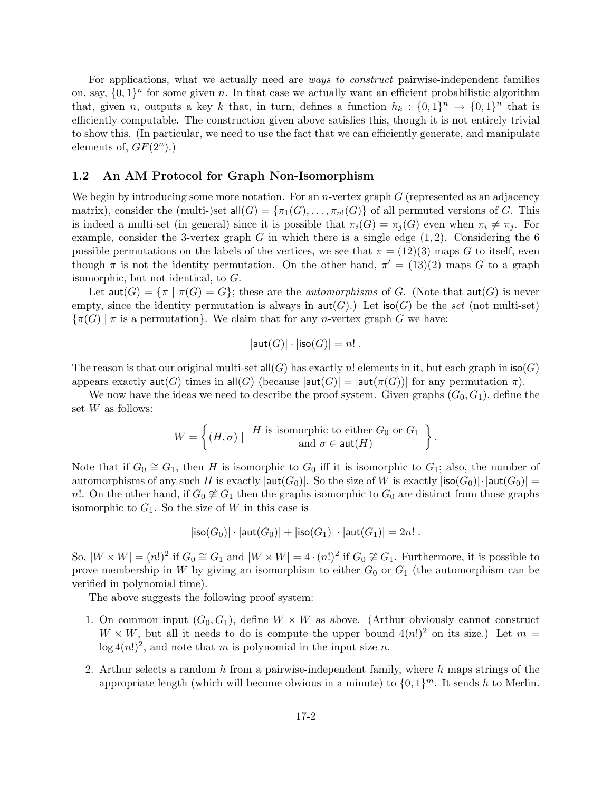For applications, what we actually need are ways to construct pairwise-independent families on, say,  $\{0,1\}^n$  for some given n. In that case we actually want an efficient probabilistic algorithm that, given n, outputs a key k that, in turn, defines a function  $h_k: \{0,1\}^n \to \{0,1\}^n$  that is efficiently computable. The construction given above satisfies this, though it is not entirely trivial to show this. (In particular, we need to use the fact that we can efficiently generate, and manipulate elements of,  $GF(2^n)$ .)

## 1.2 An AM Protocol for Graph Non-Isomorphism

We begin by introducing some more notation. For an *n*-vertex graph  $G$  (represented as an adjacency matrix), consider the (multi-)set  $\text{all}(G) = {\pi_1(G), \dots, \pi_n(G)}$  of all permuted versions of G. This is indeed a multi-set (in general) since it is possible that  $\pi_i(G) = \pi_j(G)$  even when  $\pi_i \neq \pi_j$ . For example, consider the 3-vertex graph G in which there is a single edge  $(1, 2)$ . Considering the 6 possible permutations on the labels of the vertices, we see that  $\pi = (12)(3)$  maps G to itself, even though  $\pi$  is not the identity permutation. On the other hand,  $\pi' = (13)(2)$  maps G to a graph isomorphic, but not identical, to G.

Let  $\text{aut}(G) = {\pi \mid \pi(G) = G}$ ; these are the *automorphisms* of G. (Note that  $\text{aut}(G)$  is never empty, since the identity permutation is always in  $\text{aut}(G)$ .) Let  $\text{iso}(G)$  be the set (not multi-set)  $\{\pi(G) \mid \pi \text{ is a permutation}\}.$  We claim that for any *n*-vertex graph G we have:

$$
|\textsf{aut}(G)| \cdot |\textsf{iso}(G)| = n! .
$$

The reason is that our original multi-set all  $(G)$  has exactly n! elements in it, but each graph in  $iso(G)$ appears exactly  $\text{aut}(G)$  times in all  $(G)$  (because  $|\text{aut}(G)| = |\text{aut}(\pi(G))|$  for any permutation  $\pi$ ).

We now have the ideas we need to describe the proof system. Given graphs  $(G_0, G_1)$ , define the set W as follows:

$$
W = \left\{ (H, \sigma) \mid \begin{array}{c} H \text{ is isomorphic to either } G_0 \text{ or } G_1 \\ \text{and } \sigma \in \text{aut}(H) \end{array} \right\}.
$$

Note that if  $G_0 \cong G_1$ , then H is isomorphic to  $G_0$  iff it is isomorphic to  $G_1$ ; also, the number of automorphisms of any such H is exactly  $|{\sf aut}(G_0)|$ . So the size of W is exactly  $|{\sf iso}(G_0)| \cdot |{\sf aut}(G_0)| =$ n!. On the other hand, if  $G_0 \not\cong G_1$  then the graphs isomorphic to  $G_0$  are distinct from those graphs isomorphic to  $G_1$ . So the size of W in this case is

$$
|\mathsf{iso}(G_0)| \cdot |\mathsf{aut}(G_0)| + |\mathsf{iso}(G_1)| \cdot |\mathsf{aut}(G_1)| = 2n!.
$$

So,  $|W \times W| = (n!)^2$  if  $G_0 \cong G_1$  and  $|W \times W| = 4 \cdot (n!)^2$  if  $G_0 \not\cong G_1$ . Furthermore, it is possible to prove membership in W by giving an isomorphism to either  $G_0$  or  $G_1$  (the automorphism can be verified in polynomial time).

The above suggests the following proof system:

- 1. On common input  $(G_0, G_1)$ , define  $W \times W$  as above. (Arthur obviously cannot construct  $W \times W$ , but all it needs to do is compute the upper bound  $4(n!)^2$  on its size.) Let  $m =$  $\log 4(n!)^2$ , and note that m is polynomial in the input size n.
- 2. Arthur selects a random  $h$  from a pairwise-independent family, where  $h$  maps strings of the appropriate length (which will become obvious in a minute) to  $\{0,1\}^m$ . It sends h to Merlin.